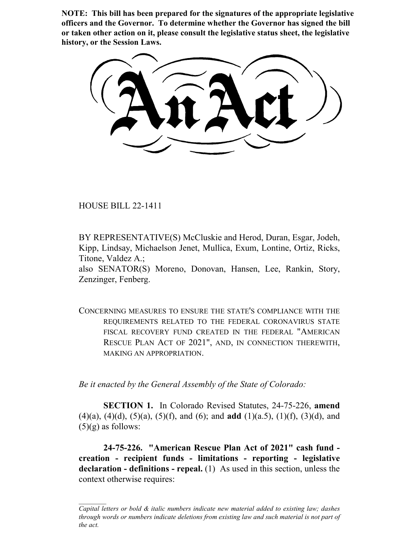**NOTE: This bill has been prepared for the signatures of the appropriate legislative officers and the Governor. To determine whether the Governor has signed the bill or taken other action on it, please consult the legislative status sheet, the legislative history, or the Session Laws.**

HOUSE BILL 22-1411

BY REPRESENTATIVE(S) McCluskie and Herod, Duran, Esgar, Jodeh, Kipp, Lindsay, Michaelson Jenet, Mullica, Exum, Lontine, Ortiz, Ricks, Titone, Valdez A.;

also SENATOR(S) Moreno, Donovan, Hansen, Lee, Rankin, Story, Zenzinger, Fenberg.

CONCERNING MEASURES TO ENSURE THE STATE'S COMPLIANCE WITH THE REQUIREMENTS RELATED TO THE FEDERAL CORONAVIRUS STATE FISCAL RECOVERY FUND CREATED IN THE FEDERAL "AMERICAN RESCUE PLAN ACT OF 2021", AND, IN CONNECTION THEREWITH, MAKING AN APPROPRIATION.

*Be it enacted by the General Assembly of the State of Colorado:*

**SECTION 1.** In Colorado Revised Statutes, 24-75-226, **amend** (4)(a), (4)(d), (5)(a), (5)(f), and (6); and **add** (1)(a.5), (1)(f), (3)(d), and  $(5)(g)$  as follows:

**24-75-226. "American Rescue Plan Act of 2021" cash fund creation - recipient funds - limitations - reporting - legislative declaration - definitions - repeal.** (1) As used in this section, unless the context otherwise requires:

*Capital letters or bold & italic numbers indicate new material added to existing law; dashes through words or numbers indicate deletions from existing law and such material is not part of the act.*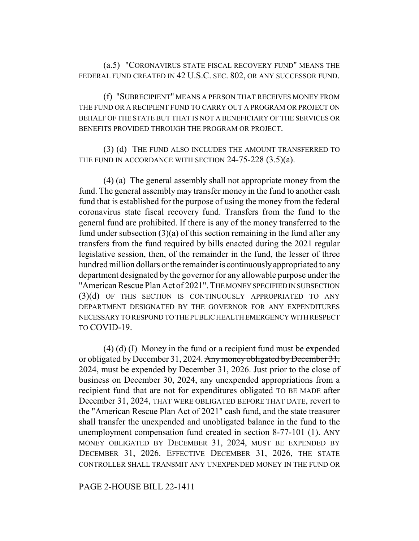(a.5) "CORONAVIRUS STATE FISCAL RECOVERY FUND" MEANS THE FEDERAL FUND CREATED IN 42 U.S.C. SEC. 802, OR ANY SUCCESSOR FUND.

(f) "SUBRECIPIENT" MEANS A PERSON THAT RECEIVES MONEY FROM THE FUND OR A RECIPIENT FUND TO CARRY OUT A PROGRAM OR PROJECT ON BEHALF OF THE STATE BUT THAT IS NOT A BENEFICIARY OF THE SERVICES OR BENEFITS PROVIDED THROUGH THE PROGRAM OR PROJECT.

(3) (d) THE FUND ALSO INCLUDES THE AMOUNT TRANSFERRED TO THE FUND IN ACCORDANCE WITH SECTION 24-75-228 (3.5)(a).

(4) (a) The general assembly shall not appropriate money from the fund. The general assembly may transfer money in the fund to another cash fund that is established for the purpose of using the money from the federal coronavirus state fiscal recovery fund. Transfers from the fund to the general fund are prohibited. If there is any of the money transferred to the fund under subsection  $(3)(a)$  of this section remaining in the fund after any transfers from the fund required by bills enacted during the 2021 regular legislative session, then, of the remainder in the fund, the lesser of three hundred million dollars or the remainder is continuously appropriated to any department designated by the governor for any allowable purpose under the "American Rescue Plan Act of 2021". THE MONEY SPECIFIED IN SUBSECTION (3)(d) OF THIS SECTION IS CONTINUOUSLY APPROPRIATED TO ANY DEPARTMENT DESIGNATED BY THE GOVERNOR FOR ANY EXPENDITURES NECESSARY TO RESPOND TO THE PUBLIC HEALTH EMERGENCY WITH RESPECT TO COVID-19.

(4) (d) (I) Money in the fund or a recipient fund must be expended or obligated by December 31, 2024. Any money obligated by December 31, 2024, must be expended by December 31, 2026. Just prior to the close of business on December 30, 2024, any unexpended appropriations from a recipient fund that are not for expenditures obligated TO BE MADE after December 31, 2024, THAT WERE OBLIGATED BEFORE THAT DATE, revert to the "American Rescue Plan Act of 2021" cash fund, and the state treasurer shall transfer the unexpended and unobligated balance in the fund to the unemployment compensation fund created in section 8-77-101 (1). ANY MONEY OBLIGATED BY DECEMBER 31, 2024, MUST BE EXPENDED BY DECEMBER 31, 2026. EFFECTIVE DECEMBER 31, 2026, THE STATE CONTROLLER SHALL TRANSMIT ANY UNEXPENDED MONEY IN THE FUND OR

PAGE 2-HOUSE BILL 22-1411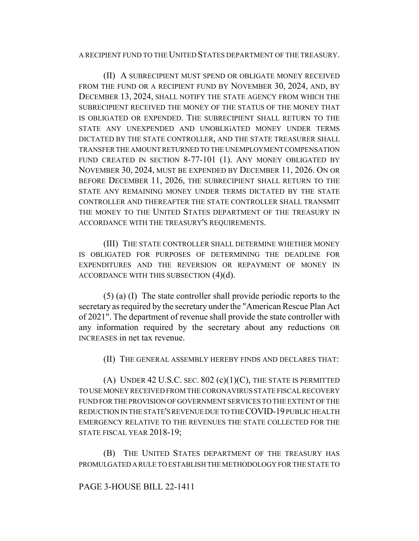### A RECIPIENT FUND TO THE UNITED STATES DEPARTMENT OF THE TREASURY.

(II) A SUBRECIPIENT MUST SPEND OR OBLIGATE MONEY RECEIVED FROM THE FUND OR A RECIPIENT FUND BY NOVEMBER 30, 2024, AND, BY DECEMBER 13, 2024, SHALL NOTIFY THE STATE AGENCY FROM WHICH THE SUBRECIPIENT RECEIVED THE MONEY OF THE STATUS OF THE MONEY THAT IS OBLIGATED OR EXPENDED. THE SUBRECIPIENT SHALL RETURN TO THE STATE ANY UNEXPENDED AND UNOBLIGATED MONEY UNDER TERMS DICTATED BY THE STATE CONTROLLER, AND THE STATE TREASURER SHALL TRANSFER THE AMOUNT RETURNED TO THE UNEMPLOYMENT COMPENSATION FUND CREATED IN SECTION 8-77-101 (1). ANY MONEY OBLIGATED BY NOVEMBER 30, 2024, MUST BE EXPENDED BY DECEMBER 11, 2026. ON OR BEFORE DECEMBER 11, 2026, THE SUBRECIPIENT SHALL RETURN TO THE STATE ANY REMAINING MONEY UNDER TERMS DICTATED BY THE STATE CONTROLLER AND THEREAFTER THE STATE CONTROLLER SHALL TRANSMIT THE MONEY TO THE UNITED STATES DEPARTMENT OF THE TREASURY IN ACCORDANCE WITH THE TREASURY'S REQUIREMENTS.

(III) THE STATE CONTROLLER SHALL DETERMINE WHETHER MONEY IS OBLIGATED FOR PURPOSES OF DETERMINING THE DEADLINE FOR EXPENDITURES AND THE REVERSION OR REPAYMENT OF MONEY IN ACCORDANCE WITH THIS SUBSECTION (4)(d).

(5) (a) (I) The state controller shall provide periodic reports to the secretary as required by the secretary under the "American Rescue Plan Act of 2021". The department of revenue shall provide the state controller with any information required by the secretary about any reductions OR INCREASES in net tax revenue.

(II) THE GENERAL ASSEMBLY HEREBY FINDS AND DECLARES THAT:

(A) UNDER 42 U.S.C. SEC.  $802$  (c)(1)(C), THE STATE IS PERMITTED TO USE MONEY RECEIVED FROM THE CORONAVIRUS STATE FISCAL RECOVERY FUND FOR THE PROVISION OF GOVERNMENT SERVICES TO THE EXTENT OF THE REDUCTION IN THE STATE'S REVENUE DUE TO THE COVID-19 PUBLIC HEALTH EMERGENCY RELATIVE TO THE REVENUES THE STATE COLLECTED FOR THE STATE FISCAL YEAR 2018-19;

(B) THE UNITED STATES DEPARTMENT OF THE TREASURY HAS PROMULGATED A RULE TO ESTABLISH THE METHODOLOGY FOR THE STATE TO

# PAGE 3-HOUSE BILL 22-1411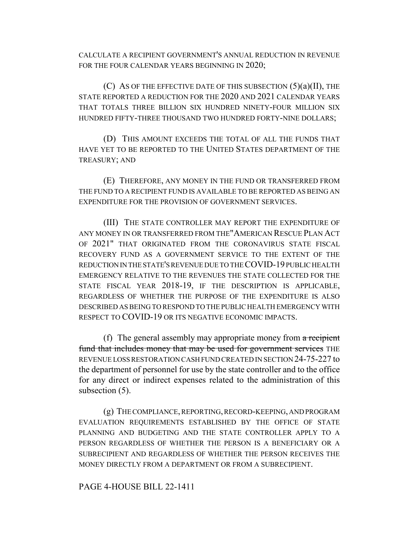CALCULATE A RECIPIENT GOVERNMENT'S ANNUAL REDUCTION IN REVENUE FOR THE FOUR CALENDAR YEARS BEGINNING IN 2020;

(C) AS OF THE EFFECTIVE DATE OF THIS SUBSECTION (5)(a)(II), THE STATE REPORTED A REDUCTION FOR THE 2020 AND 2021 CALENDAR YEARS THAT TOTALS THREE BILLION SIX HUNDRED NINETY-FOUR MILLION SIX HUNDRED FIFTY-THREE THOUSAND TWO HUNDRED FORTY-NINE DOLLARS;

(D) THIS AMOUNT EXCEEDS THE TOTAL OF ALL THE FUNDS THAT HAVE YET TO BE REPORTED TO THE UNITED STATES DEPARTMENT OF THE TREASURY; AND

(E) THEREFORE, ANY MONEY IN THE FUND OR TRANSFERRED FROM THE FUND TO A RECIPIENT FUND IS AVAILABLE TO BE REPORTED AS BEING AN EXPENDITURE FOR THE PROVISION OF GOVERNMENT SERVICES.

(III) THE STATE CONTROLLER MAY REPORT THE EXPENDITURE OF ANY MONEY IN OR TRANSFERRED FROM THE"AMERICAN RESCUE PLAN ACT OF 2021" THAT ORIGINATED FROM THE CORONAVIRUS STATE FISCAL RECOVERY FUND AS A GOVERNMENT SERVICE TO THE EXTENT OF THE REDUCTION IN THE STATE'S REVENUE DUE TO THE COVID-19 PUBLIC HEALTH EMERGENCY RELATIVE TO THE REVENUES THE STATE COLLECTED FOR THE STATE FISCAL YEAR 2018-19, IF THE DESCRIPTION IS APPLICABLE, REGARDLESS OF WHETHER THE PURPOSE OF THE EXPENDITURE IS ALSO DESCRIBED AS BEING TO RESPOND TO THE PUBLIC HEALTH EMERGENCY WITH RESPECT TO COVID-19 OR ITS NEGATIVE ECONOMIC IMPACTS.

(f) The general assembly may appropriate money from a recipient fund that includes money that may be used for government services THE REVENUE LOSS RESTORATION CASH FUND CREATED IN SECTION 24-75-227 to the department of personnel for use by the state controller and to the office for any direct or indirect expenses related to the administration of this subsection (5).

(g) THE COMPLIANCE, REPORTING, RECORD-KEEPING, AND PROGRAM EVALUATION REQUIREMENTS ESTABLISHED BY THE OFFICE OF STATE PLANNING AND BUDGETING AND THE STATE CONTROLLER APPLY TO A PERSON REGARDLESS OF WHETHER THE PERSON IS A BENEFICIARY OR A SUBRECIPIENT AND REGARDLESS OF WHETHER THE PERSON RECEIVES THE MONEY DIRECTLY FROM A DEPARTMENT OR FROM A SUBRECIPIENT.

## PAGE 4-HOUSE BILL 22-1411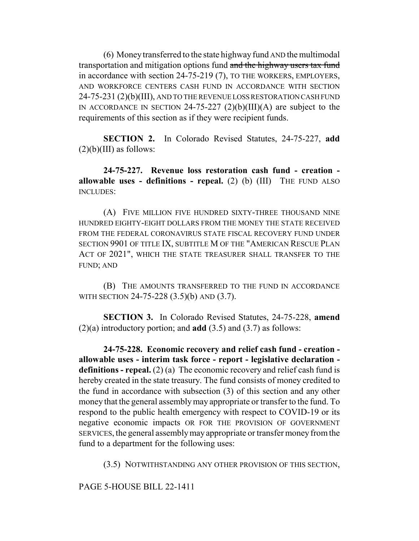(6) Money transferred to the state highway fund AND the multimodal transportation and mitigation options fund and the highway users tax fund in accordance with section 24-75-219 (7), TO THE WORKERS, EMPLOYERS, AND WORKFORCE CENTERS CASH FUND IN ACCORDANCE WITH SECTION 24-75-231 (2)(b)(III), AND TO THE REVENUE LOSS RESTORATION CASH FUND IN ACCORDANCE IN SECTION 24-75-227  $(2)(b)(III)(A)$  are subject to the requirements of this section as if they were recipient funds.

**SECTION 2.** In Colorado Revised Statutes, 24-75-227, **add**  $(2)(b)(III)$  as follows:

**24-75-227. Revenue loss restoration cash fund - creation allowable uses - definitions - repeal.** (2) (b) (III) THE FUND ALSO INCLUDES:

(A) FIVE MILLION FIVE HUNDRED SIXTY-THREE THOUSAND NINE HUNDRED EIGHTY-EIGHT DOLLARS FROM THE MONEY THE STATE RECEIVED FROM THE FEDERAL CORONAVIRUS STATE FISCAL RECOVERY FUND UNDER SECTION 9901 OF TITLE IX, SUBTITLE M OF THE "AMERICAN RESCUE PLAN ACT OF 2021", WHICH THE STATE TREASURER SHALL TRANSFER TO THE FUND; AND

(B) THE AMOUNTS TRANSFERRED TO THE FUND IN ACCORDANCE WITH SECTION 24-75-228 (3.5)(b) AND (3.7).

**SECTION 3.** In Colorado Revised Statutes, 24-75-228, **amend** (2)(a) introductory portion; and **add** (3.5) and (3.7) as follows:

**24-75-228. Economic recovery and relief cash fund - creation allowable uses - interim task force - report - legislative declaration**  definitions - repeal. (2) (a) The economic recovery and relief cash fund is hereby created in the state treasury. The fund consists of money credited to the fund in accordance with subsection (3) of this section and any other money that the general assembly may appropriate or transfer to the fund. To respond to the public health emergency with respect to COVID-19 or its negative economic impacts OR FOR THE PROVISION OF GOVERNMENT SERVICES, the general assembly may appropriate or transfer money from the fund to a department for the following uses:

(3.5) NOTWITHSTANDING ANY OTHER PROVISION OF THIS SECTION,

PAGE 5-HOUSE BILL 22-1411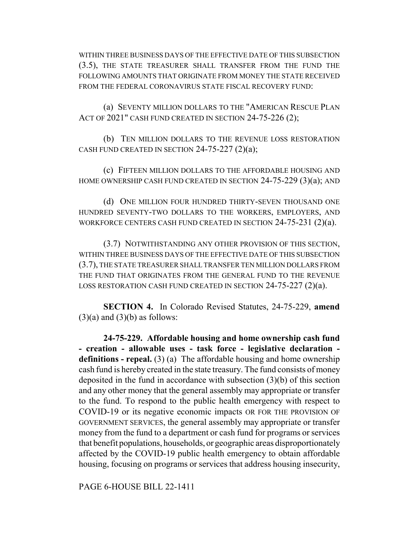WITHIN THREE BUSINESS DAYS OF THE EFFECTIVE DATE OF THIS SUBSECTION (3.5), THE STATE TREASURER SHALL TRANSFER FROM THE FUND THE FOLLOWING AMOUNTS THAT ORIGINATE FROM MONEY THE STATE RECEIVED FROM THE FEDERAL CORONAVIRUS STATE FISCAL RECOVERY FUND:

(a) SEVENTY MILLION DOLLARS TO THE "AMERICAN RESCUE PLAN ACT OF 2021" CASH FUND CREATED IN SECTION 24-75-226 (2);

(b) TEN MILLION DOLLARS TO THE REVENUE LOSS RESTORATION CASH FUND CREATED IN SECTION  $24-75-227$   $(2)(a)$ ;

(c) FIFTEEN MILLION DOLLARS TO THE AFFORDABLE HOUSING AND HOME OWNERSHIP CASH FUND CREATED IN SECTION 24-75-229 (3)(a); AND

(d) ONE MILLION FOUR HUNDRED THIRTY-SEVEN THOUSAND ONE HUNDRED SEVENTY-TWO DOLLARS TO THE WORKERS, EMPLOYERS, AND WORKFORCE CENTERS CASH FUND CREATED IN SECTION 24-75-231 (2)(a).

(3.7) NOTWITHSTANDING ANY OTHER PROVISION OF THIS SECTION, WITHIN THREE BUSINESS DAYS OF THE EFFECTIVE DATE OF THIS SUBSECTION (3.7), THE STATE TREASURER SHALL TRANSFER TEN MILLION DOLLARS FROM THE FUND THAT ORIGINATES FROM THE GENERAL FUND TO THE REVENUE LOSS RESTORATION CASH FUND CREATED IN SECTION 24-75-227 (2)(a).

**SECTION 4.** In Colorado Revised Statutes, 24-75-229, **amend**  $(3)(a)$  and  $(3)(b)$  as follows:

**24-75-229. Affordable housing and home ownership cash fund - creation - allowable uses - task force - legislative declaration definitions - repeal.** (3) (a) The affordable housing and home ownership cash fund is hereby created in the state treasury. The fund consists of money deposited in the fund in accordance with subsection (3)(b) of this section and any other money that the general assembly may appropriate or transfer to the fund. To respond to the public health emergency with respect to COVID-19 or its negative economic impacts OR FOR THE PROVISION OF GOVERNMENT SERVICES, the general assembly may appropriate or transfer money from the fund to a department or cash fund for programs or services that benefit populations, households, or geographic areas disproportionately affected by the COVID-19 public health emergency to obtain affordable housing, focusing on programs or services that address housing insecurity,

PAGE 6-HOUSE BILL 22-1411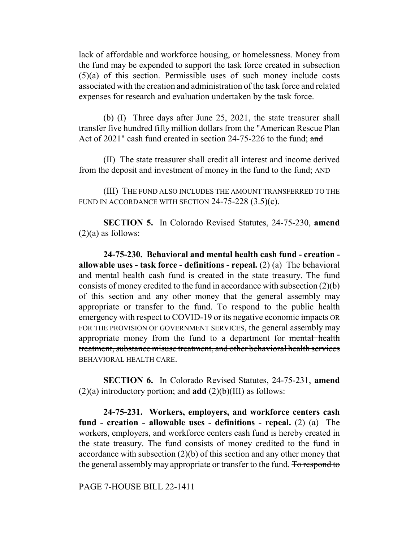lack of affordable and workforce housing, or homelessness. Money from the fund may be expended to support the task force created in subsection (5)(a) of this section. Permissible uses of such money include costs associated with the creation and administration of the task force and related expenses for research and evaluation undertaken by the task force.

(b) (I) Three days after June 25, 2021, the state treasurer shall transfer five hundred fifty million dollars from the "American Rescue Plan Act of 2021" cash fund created in section 24-75-226 to the fund; and

(II) The state treasurer shall credit all interest and income derived from the deposit and investment of money in the fund to the fund; AND

(III) THE FUND ALSO INCLUDES THE AMOUNT TRANSFERRED TO THE FUND IN ACCORDANCE WITH SECTION  $24-75-228$   $(3.5)(c)$ .

**SECTION 5.** In Colorado Revised Statutes, 24-75-230, **amend**  $(2)(a)$  as follows:

**24-75-230. Behavioral and mental health cash fund - creation allowable uses - task force - definitions - repeal.** (2) (a) The behavioral and mental health cash fund is created in the state treasury. The fund consists of money credited to the fund in accordance with subsection (2)(b) of this section and any other money that the general assembly may appropriate or transfer to the fund. To respond to the public health emergency with respect to COVID-19 or its negative economic impacts OR FOR THE PROVISION OF GOVERNMENT SERVICES, the general assembly may appropriate money from the fund to a department for mental health treatment, substance misuse treatment, and other behavioral health services BEHAVIORAL HEALTH CARE.

**SECTION 6.** In Colorado Revised Statutes, 24-75-231, **amend**  $(2)(a)$  introductory portion; and **add**  $(2)(b)(III)$  as follows:

**24-75-231. Workers, employers, and workforce centers cash fund - creation - allowable uses - definitions - repeal.** (2) (a) The workers, employers, and workforce centers cash fund is hereby created in the state treasury. The fund consists of money credited to the fund in accordance with subsection (2)(b) of this section and any other money that the general assembly may appropriate or transfer to the fund. To respond to

PAGE 7-HOUSE BILL 22-1411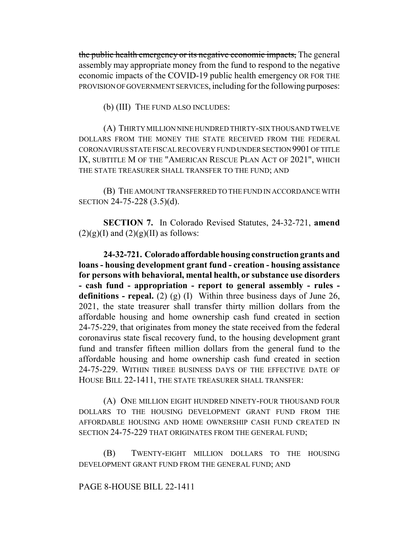the public health emergency or its negative economic impacts, The general assembly may appropriate money from the fund to respond to the negative economic impacts of the COVID-19 public health emergency OR FOR THE PROVISION OF GOVERNMENT SERVICES, including for the following purposes:

(b) (III) THE FUND ALSO INCLUDES:

(A) THIRTY MILLION NINE HUNDRED THIRTY-SIX THOUSAND TWELVE DOLLARS FROM THE MONEY THE STATE RECEIVED FROM THE FEDERAL CORONAVIRUS STATE FISCAL RECOVERY FUND UNDER SECTION 9901 OF TITLE IX, SUBTITLE M OF THE "AMERICAN RESCUE PLAN ACT OF 2021", WHICH THE STATE TREASURER SHALL TRANSFER TO THE FUND; AND

(B) THE AMOUNT TRANSFERRED TO THE FUND IN ACCORDANCE WITH SECTION 24-75-228 (3.5)(d).

**SECTION 7.** In Colorado Revised Statutes, 24-32-721, **amend**  $(2)(g)(I)$  and  $(2)(g)(II)$  as follows:

**24-32-721. Colorado affordable housing construction grants and loans - housing development grant fund - creation - housing assistance for persons with behavioral, mental health, or substance use disorders - cash fund - appropriation - report to general assembly - rules definitions - repeal.** (2) (g) (I) Within three business days of June 26, 2021, the state treasurer shall transfer thirty million dollars from the affordable housing and home ownership cash fund created in section 24-75-229, that originates from money the state received from the federal coronavirus state fiscal recovery fund, to the housing development grant fund and transfer fifteen million dollars from the general fund to the affordable housing and home ownership cash fund created in section 24-75-229. WITHIN THREE BUSINESS DAYS OF THE EFFECTIVE DATE OF HOUSE BILL 22-1411, THE STATE TREASURER SHALL TRANSFER:

(A) ONE MILLION EIGHT HUNDRED NINETY-FOUR THOUSAND FOUR DOLLARS TO THE HOUSING DEVELOPMENT GRANT FUND FROM THE AFFORDABLE HOUSING AND HOME OWNERSHIP CASH FUND CREATED IN SECTION 24-75-229 THAT ORIGINATES FROM THE GENERAL FUND;

(B) TWENTY-EIGHT MILLION DOLLARS TO THE HOUSING DEVELOPMENT GRANT FUND FROM THE GENERAL FUND; AND

# PAGE 8-HOUSE BILL 22-1411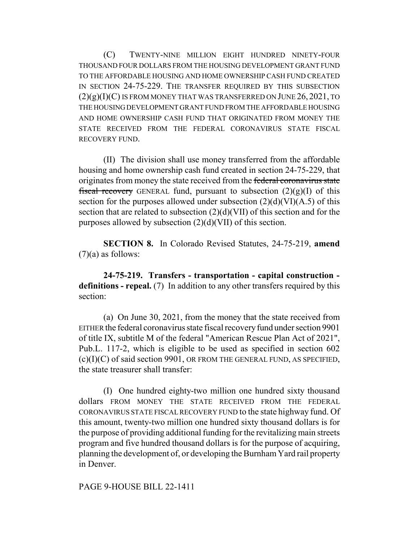(C) TWENTY-NINE MILLION EIGHT HUNDRED NINETY-FOUR THOUSAND FOUR DOLLARS FROM THE HOUSING DEVELOPMENT GRANT FUND TO THE AFFORDABLE HOUSING AND HOME OWNERSHIP CASH FUND CREATED IN SECTION 24-75-229. THE TRANSFER REQUIRED BY THIS SUBSECTION  $(2)(g)(I)(C)$  IS FROM MONEY THAT WAS TRANSFERRED ON JUNE 26, 2021, TO THE HOUSING DEVELOPMENT GRANT FUND FROM THE AFFORDABLE HOUSING AND HOME OWNERSHIP CASH FUND THAT ORIGINATED FROM MONEY THE STATE RECEIVED FROM THE FEDERAL CORONAVIRUS STATE FISCAL RECOVERY FUND.

(II) The division shall use money transferred from the affordable housing and home ownership cash fund created in section 24-75-229, that originates from money the state received from the federal coronavirus state fiscal recovery GENERAL fund, pursuant to subsection  $(2)(g)(I)$  of this section for the purposes allowed under subsection  $(2)(d)(VI)(A.5)$  of this section that are related to subsection (2)(d)(VII) of this section and for the purposes allowed by subsection (2)(d)(VII) of this section.

**SECTION 8.** In Colorado Revised Statutes, 24-75-219, **amend**  $(7)(a)$  as follows:

**24-75-219. Transfers - transportation - capital construction definitions - repeal.** (7) In addition to any other transfers required by this section:

(a) On June 30, 2021, from the money that the state received from EITHER the federal coronavirus state fiscal recovery fund under section 9901 of title IX, subtitle M of the federal "American Rescue Plan Act of 2021", Pub.L. 117-2, which is eligible to be used as specified in section 602 (c)(I)(C) of said section 9901, OR FROM THE GENERAL FUND, AS SPECIFIED, the state treasurer shall transfer:

(I) One hundred eighty-two million one hundred sixty thousand dollars FROM MONEY THE STATE RECEIVED FROM THE FEDERAL CORONAVIRUS STATE FISCAL RECOVERY FUND to the state highway fund. Of this amount, twenty-two million one hundred sixty thousand dollars is for the purpose of providing additional funding for the revitalizing main streets program and five hundred thousand dollars is for the purpose of acquiring, planning the development of, or developing the Burnham Yard rail property in Denver.

PAGE 9-HOUSE BILL 22-1411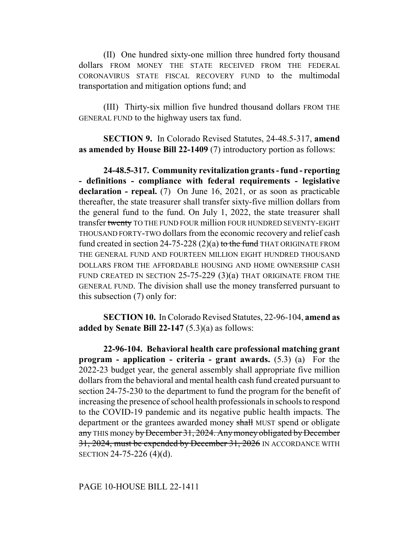(II) One hundred sixty-one million three hundred forty thousand dollars FROM MONEY THE STATE RECEIVED FROM THE FEDERAL CORONAVIRUS STATE FISCAL RECOVERY FUND to the multimodal transportation and mitigation options fund; and

(III) Thirty-six million five hundred thousand dollars FROM THE GENERAL FUND to the highway users tax fund.

**SECTION 9.** In Colorado Revised Statutes, 24-48.5-317, **amend as amended by House Bill 22-1409** (7) introductory portion as follows:

**24-48.5-317. Community revitalization grants - fund - reporting - definitions - compliance with federal requirements - legislative declaration - repeal.** (7) On June 16, 2021, or as soon as practicable thereafter, the state treasurer shall transfer sixty-five million dollars from the general fund to the fund. On July 1, 2022, the state treasurer shall transfer twenty TO THE FUND FOUR million FOUR HUNDRED SEVENTY-EIGHT THOUSAND FORTY-TWO dollars from the economic recovery and relief cash fund created in section 24-75-228 (2)(a) to the fund THAT ORIGINATE FROM THE GENERAL FUND AND FOURTEEN MILLION EIGHT HUNDRED THOUSAND DOLLARS FROM THE AFFORDABLE HOUSING AND HOME OWNERSHIP CASH FUND CREATED IN SECTION 25-75-229 (3)(a) THAT ORIGINATE FROM THE GENERAL FUND. The division shall use the money transferred pursuant to this subsection (7) only for:

**SECTION 10.** In Colorado Revised Statutes, 22-96-104, **amend as added by Senate Bill 22-147** (5.3)(a) as follows:

**22-96-104. Behavioral health care professional matching grant program - application - criteria - grant awards.** (5.3) (a) For the 2022-23 budget year, the general assembly shall appropriate five million dollars from the behavioral and mental health cash fund created pursuant to section 24-75-230 to the department to fund the program for the benefit of increasing the presence of school health professionals in schools to respond to the COVID-19 pandemic and its negative public health impacts. The department or the grantees awarded money shall MUST spend or obligate any THIS money by December 31, 2024. Any money obligated by December 31, 2024, must be expended by December 31, 2026 IN ACCORDANCE WITH SECTION 24-75-226 (4)(d).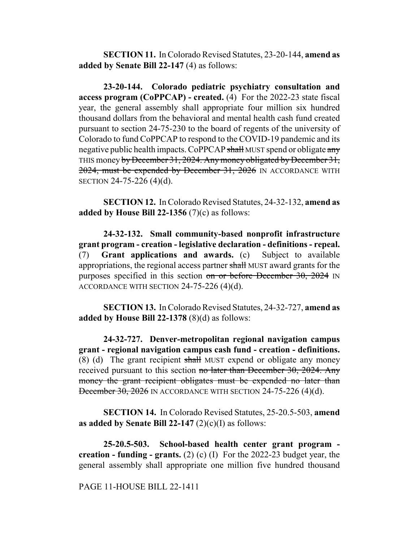**SECTION 11.** In Colorado Revised Statutes, 23-20-144, **amend as added by Senate Bill 22-147** (4) as follows:

**23-20-144. Colorado pediatric psychiatry consultation and access program (CoPPCAP) - created.** (4) For the 2022-23 state fiscal year, the general assembly shall appropriate four million six hundred thousand dollars from the behavioral and mental health cash fund created pursuant to section 24-75-230 to the board of regents of the university of Colorado to fund CoPPCAP to respond to the COVID-19 pandemic and its negative public health impacts. CoPPCAP shall MUST spend or obligate any THIS money by December 31, 2024. Any money obligated by December 31, 2024, must be expended by December 31, 2026 IN ACCORDANCE WITH SECTION 24-75-226 (4)(d).

**SECTION 12.** In Colorado Revised Statutes, 24-32-132, **amend as added by House Bill 22-1356** (7)(c) as follows:

**24-32-132. Small community-based nonprofit infrastructure grant program - creation - legislative declaration - definitions - repeal.** (7) **Grant applications and awards.** (c) Subject to available appropriations, the regional access partner shall MUST award grants for the purposes specified in this section on or before December 30, 2024 IN ACCORDANCE WITH SECTION 24-75-226 (4)(d).

**SECTION 13.** In Colorado Revised Statutes, 24-32-727, **amend as added by House Bill 22-1378** (8)(d) as follows:

**24-32-727. Denver-metropolitan regional navigation campus grant - regional navigation campus cash fund - creation - definitions.**  $(8)$  (d) The grant recipient shall MUST expend or obligate any money received pursuant to this section no later than December 30, 2024. Any money the grant recipient obligates must be expended no later than December 30, 2026 IN ACCORDANCE WITH SECTION 24-75-226 (4)(d).

**SECTION 14.** In Colorado Revised Statutes, 25-20.5-503, **amend as added by Senate Bill 22-147**  $(2)(c)(I)$  as follows:

**25-20.5-503. School-based health center grant program creation - funding - grants.** (2) (c) (I) For the 2022-23 budget year, the general assembly shall appropriate one million five hundred thousand

PAGE 11-HOUSE BILL 22-1411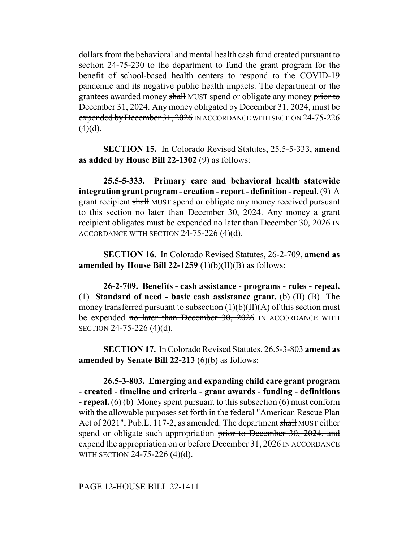dollars from the behavioral and mental health cash fund created pursuant to section 24-75-230 to the department to fund the grant program for the benefit of school-based health centers to respond to the COVID-19 pandemic and its negative public health impacts. The department or the grantees awarded money shall MUST spend or obligate any money prior to December 31, 2024. Any money obligated by December 31, 2024, must be expended by December 31, 2026 IN ACCORDANCE WITH SECTION 24-75-226  $(4)(d)$ .

**SECTION 15.** In Colorado Revised Statutes, 25.5-5-333, **amend as added by House Bill 22-1302** (9) as follows:

**25.5-5-333. Primary care and behavioral health statewide integration grant program - creation - report - definition - repeal.** (9) A grant recipient shall MUST spend or obligate any money received pursuant to this section no later than December 30, 2024. Any money a grant recipient obligates must be expended no later than December 30, 2026 IN ACCORDANCE WITH SECTION 24-75-226 (4)(d).

**SECTION 16.** In Colorado Revised Statutes, 26-2-709, **amend as amended by House Bill 22-1259** (1)(b)(II)(B) as follows:

**26-2-709. Benefits - cash assistance - programs - rules - repeal.** (1) **Standard of need - basic cash assistance grant.** (b) (II) (B) The money transferred pursuant to subsection  $(1)(b)(II)(A)$  of this section must be expended no later than December 30, 2026 IN ACCORDANCE WITH SECTION 24-75-226 (4)(d).

**SECTION 17.** In Colorado Revised Statutes, 26.5-3-803 **amend as amended by Senate Bill 22-213** (6)(b) as follows:

**26.5-3-803. Emerging and expanding child care grant program - created - timeline and criteria - grant awards - funding - definitions - repeal.** (6) (b) Money spent pursuant to this subsection (6) must conform with the allowable purposes set forth in the federal "American Rescue Plan Act of 2021", Pub.L. 117-2, as amended. The department shall MUST either spend or obligate such appropriation prior to December 30, 2024, and expend the appropriation on or before December 31, 2026 IN ACCORDANCE WITH SECTION 24-75-226 (4)(d).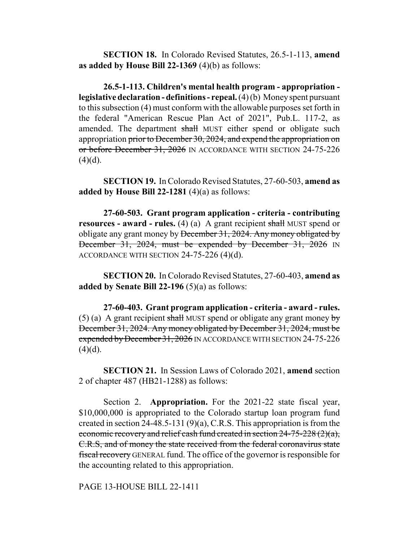**SECTION 18.** In Colorado Revised Statutes, 26.5-1-113, **amend as added by House Bill 22-1369** (4)(b) as follows:

**26.5-1-113. Children's mental health program - appropriation legislative declaration - definitions - repeal.** (4) (b) Money spent pursuant to this subsection (4) must conform with the allowable purposes set forth in the federal "American Rescue Plan Act of 2021", Pub.L. 117-2, as amended. The department shall MUST either spend or obligate such appropriation prior to December 30, 2024, and expend the appropriation on or before December 31, 2026 IN ACCORDANCE WITH SECTION 24-75-226  $(4)(d)$ .

**SECTION 19.** In Colorado Revised Statutes, 27-60-503, **amend as added by House Bill 22-1281** (4)(a) as follows:

**27-60-503. Grant program application - criteria - contributing resources - award - rules.** (4) (a) A grant recipient shall MUST spend or obligate any grant money by December 31, 2024. Any money obligated by December 31, 2024, must be expended by December 31, 2026 IN ACCORDANCE WITH SECTION 24-75-226 (4)(d).

**SECTION 20.** In Colorado Revised Statutes, 27-60-403, **amend as added by Senate Bill 22-196** (5)(a) as follows:

**27-60-403. Grant program application - criteria - award - rules.** (5) (a) A grant recipient shall MUST spend or obligate any grant money by December 31, 2024. Any money obligated by December 31, 2024, must be expended by December 31, 2026 IN ACCORDANCE WITH SECTION 24-75-226  $(4)(d)$ .

**SECTION 21.** In Session Laws of Colorado 2021, **amend** section 2 of chapter 487 (HB21-1288) as follows:

Section 2. **Appropriation.** For the 2021-22 state fiscal year, \$10,000,000 is appropriated to the Colorado startup loan program fund created in section 24-48.5-131 (9)(a), C.R.S. This appropriation is from the economic recovery and relief cash fund created in section 24-75-228 (2)(a), C.R.S, and of money the state received from the federal coronavirus state fiscal recovery GENERAL fund. The office of the governor is responsible for the accounting related to this appropriation.

PAGE 13-HOUSE BILL 22-1411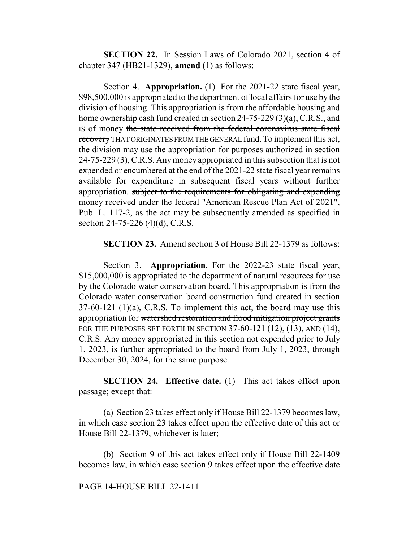**SECTION 22.** In Session Laws of Colorado 2021, section 4 of chapter 347 (HB21-1329), **amend** (1) as follows:

Section 4. **Appropriation.** (1) For the 2021-22 state fiscal year, \$98,500,000 is appropriated to the department of local affairs for use by the division of housing. This appropriation is from the affordable housing and home ownership cash fund created in section 24-75-229 (3)(a), C.R.S., and IS of money the state received from the federal coronavirus state fiscal recovery THAT ORIGINATES FROM THE GENERAL fund. To implement this act, the division may use the appropriation for purposes authorized in section 24-75-229 (3), C.R.S. Any money appropriated in this subsection that is not expended or encumbered at the end of the 2021-22 state fiscal year remains available for expenditure in subsequent fiscal years without further appropriation. subject to the requirements for obligating and expending money received under the federal "American Rescue Plan Act of 2021", Pub. L. 117-2, as the act may be subsequently amended as specified in section 24-75-226 (4)(d), C.R.S.

**SECTION 23.** Amend section 3 of House Bill 22-1379 as follows:

Section 3. **Appropriation.** For the 2022-23 state fiscal year, \$15,000,000 is appropriated to the department of natural resources for use by the Colorado water conservation board. This appropriation is from the Colorado water conservation board construction fund created in section 37-60-121 (1)(a), C.R.S. To implement this act, the board may use this appropriation for watershed restoration and flood mitigation project grants FOR THE PURPOSES SET FORTH IN SECTION 37-60-121 (12), (13), AND (14), C.R.S. Any money appropriated in this section not expended prior to July 1, 2023, is further appropriated to the board from July 1, 2023, through December 30, 2024, for the same purpose.

**SECTION 24. Effective date.** (1) This act takes effect upon passage; except that:

(a) Section 23 takes effect only if House Bill 22-1379 becomes law, in which case section 23 takes effect upon the effective date of this act or House Bill 22-1379, whichever is later;

(b) Section 9 of this act takes effect only if House Bill 22-1409 becomes law, in which case section 9 takes effect upon the effective date

#### PAGE 14-HOUSE BILL 22-1411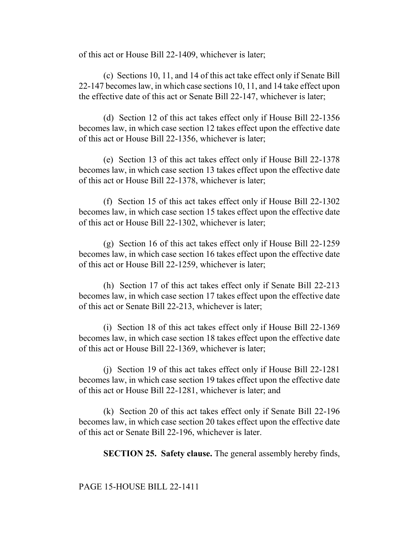of this act or House Bill 22-1409, whichever is later;

(c) Sections 10, 11, and 14 of this act take effect only if Senate Bill 22-147 becomes law, in which case sections 10, 11, and 14 take effect upon the effective date of this act or Senate Bill 22-147, whichever is later;

(d) Section 12 of this act takes effect only if House Bill 22-1356 becomes law, in which case section 12 takes effect upon the effective date of this act or House Bill 22-1356, whichever is later;

(e) Section 13 of this act takes effect only if House Bill 22-1378 becomes law, in which case section 13 takes effect upon the effective date of this act or House Bill 22-1378, whichever is later;

(f) Section 15 of this act takes effect only if House Bill 22-1302 becomes law, in which case section 15 takes effect upon the effective date of this act or House Bill 22-1302, whichever is later;

(g) Section 16 of this act takes effect only if House Bill 22-1259 becomes law, in which case section 16 takes effect upon the effective date of this act or House Bill 22-1259, whichever is later;

(h) Section 17 of this act takes effect only if Senate Bill 22-213 becomes law, in which case section 17 takes effect upon the effective date of this act or Senate Bill 22-213, whichever is later;

(i) Section 18 of this act takes effect only if House Bill 22-1369 becomes law, in which case section 18 takes effect upon the effective date of this act or House Bill 22-1369, whichever is later;

(j) Section 19 of this act takes effect only if House Bill 22-1281 becomes law, in which case section 19 takes effect upon the effective date of this act or House Bill 22-1281, whichever is later; and

(k) Section 20 of this act takes effect only if Senate Bill 22-196 becomes law, in which case section 20 takes effect upon the effective date of this act or Senate Bill 22-196, whichever is later.

**SECTION 25. Safety clause.** The general assembly hereby finds,

### PAGE 15-HOUSE BILL 22-1411